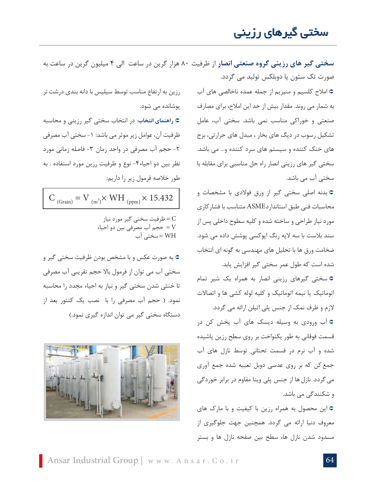## سختی گیرهای رزینی

**سختی گیر های رزینی گروه صنعتی انصار** از ظرفیت 80 هزار گرین در ساعت الی 4 میلیون گرین در ساعت به صورت تک ستون یا دوبلکس تولید می گردد.

> <sup>Á</sup> امالح کلسیم و منیزیم از جمله عمده ناخالصی های آب به شمار می روند. مقدار بیش از حد این امالح، برای مصارف صنعتی و خوراکی مناسب نمی باشد. سختی آب، عامل تشکیل رسوب در دیگ های بخار ، مبدل های حرارتی، برج های خنک کننده و سیستم های سرد کننده و... می باشد. سختی گیر های رزینی انصار راه حل مناسبی برای مقابله با سختی آب می باشد.

> <sup>Á</sup> بدنه اصلی سختی گیر از ورق فوالدی با مشخصات و محاسبات فنی طبق استانداردASME متناسب با فشارکاری مورد نیاز طراحی و ساخته شده و کلیه سطوح داخلی پس از سند بالست با سه الیه رنگ اپوکسی پوشش داده می شود. ضخامت ورق ها با تحلیل های مهندسی به گونه ای انتخاب شده است که طول عمر سختی گیر افزایش یابد.

> <sup>Á</sup> سختی گیرهای رزینی انصار به همراه یک شیر تمام اتوماتیک یا نیمه اتوماتیک و کلیه لوله کشی ها و اتصاالت الزم و ظرف نمک از جنس پلی اتیلن ارائه می گردد.

> <sup>Á</sup> آب ورودی به وسیله دیسک های آب پخش کن در قسمت فوقانی به طور یکنواخت بر روی سطح رزین پاشیده شده و آب نرم در قسمت تحتانی توسط نازل های آب جمعکن که بر روی عدسی دوبل تعبیه شده جمع آوری میگردد. نازلها از جنس پلی وینا مقاوم در برابر خوردگی و شکنندگی می باشد.

> <sup>Á</sup> این محصول به همراه رزین با کیفیت و با مارک های معروف دنیا ارائه می گردد. همچنین جهت جلوگیری از مسدود شدن نازل ها، سطح بین صفحه نازل ها و بستر

رزین به ارتفاع مناسب توسط سیلیس با دانه بندی درشتتر پوشانده می شود. <sup>Á</sup> **راهنمای انتخاب**: در انتخاب سختی گیر رزینی و محاسبه ظرفیت آن، عوامل زیر موثر می باشد: ١- سختی آب مصرفی -2 حجم آب مصرفی در واحد زمان -3 فاصله زمانی مورد نظر بین دو احیاء-4 نوع و ظرفیت رزین مورد استفاده . به طور خالصه فرمول زیر را داریم:

 $C_{(Grain)} = V_{(m^3)} \times WH_{(ppm)} \times 15.432$ 

C = ظرفیت سختی گیر مورد نیاز V = حجم آب مصرفی بین دو احیاء WH = سختی آب

<sup>Á</sup> به صورت عکس و با مشخص بودن ظرفیت سختی گیر و سختی آب می توان از فرمول باال حجم تقریبی آب مصرفی تا خنثی شدن سختی گیر و نیاز به احیاء مجدد را محاسبه نمود. ) حجم آب مصرفی را با نصب یک کنتور بعد از دستگاه سختی گیر می توان اندازه گیری نمود.(

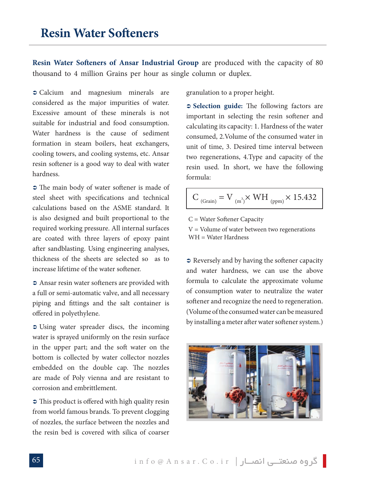**Resin Water Softeners of Ansar Industrial Group are produced with the capacity of 80** thousand to 4 million Grains per hour as single column or duplex.

l

• Calcium and magnesium minerals are considered as the major impurities of water. Excessive amount of these minerals is not suitable for industrial and food consumption. Water hardness is the cause of sediment formation in steam boilers, heat exchangers, cooling towers, and cooling systems, etc. Ansar resin softener is a good way to deal with water .hardness

 $\supset$  The main body of water softener is made of steel sheet with specifications and technical calculations based on the ASME standard. It is also designed and built proportional to the required working pressure. All internal surfaces are coated with three layers of epoxy paint after sandblasting. Using engineering analyses, thickness of the sheets are selected so as to increase lifetime of the water softener.

 $\supset$  Ansar resin water softeners are provided with a full or semi-automatic valve, and all necessary piping and fittings and the salt container is offered in polyethylene.

 $\supset$  Using water spreader discs, the incoming water is sprayed uniformly on the resin surface in the upper part; and the soft water on the bottom is collected by water collector nozzles embedded on the double cap. The nozzles are made of Poly vienna and are resistant to corrosion and embrittlement.

 $\supset$  This product is offered with high quality resin from world famous brands. To prevent clogging of nozzles, the surface between the nozzles and the resin bed is covered with silica of coarser granulation to a proper height.

**2 Selection guide:** The following factors are important in selecting the resin softener and calculating its capacity: 1. Hardness of the water consumed, 2. Volume of the consumed water in unit of time 3. Desired time interval between two regenerations, 4. Type and capacity of the resin used. In short, we have the following :formula

$$
C_{\text{ (Grain)}} = V_{\text{ (m}^3)} \times WH_{\text{ (ppm)}} \times 15.432
$$

 $C = Water$  Softener Capacity

 $V =$  Volume of water between two regenerations  $WH = Water$  Hardness

 $\supset$  Reversely and by having the softener capacity and water hardness, we can use the above formula to calculate the approximate volume of consumption water to neutralize the water softener and recognize the need to regeneration. (Volume of the consumed water can be measured by installing a meter after water softener system.)